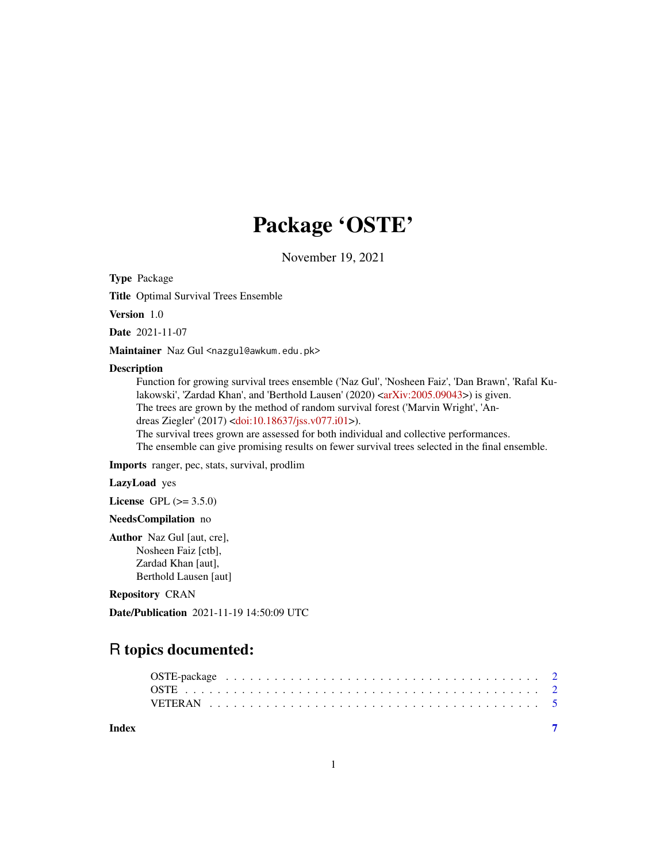## Package 'OSTE'

November 19, 2021

Type Package

Title Optimal Survival Trees Ensemble

Version 1.0

Date 2021-11-07

Maintainer Naz Gul <nazgul@awkum.edu.pk>

#### Description

Function for growing survival trees ensemble ('Naz Gul', 'Nosheen Faiz', 'Dan Brawn', 'Rafal Ku-lakowski', 'Zardad Khan', and 'Berthold Lausen' (2020) [<arXiv:2005.09043>](https://arxiv.org/abs/2005.09043)) is given. The trees are grown by the method of random survival forest ('Marvin Wright', 'Andreas Ziegler' (2017) [<doi:10.18637/jss.v077.i01>](https://doi.org/10.18637/jss.v077.i01)).

The survival trees grown are assessed for both individual and collective performances. The ensemble can give promising results on fewer survival trees selected in the final ensemble.

Imports ranger, pec, stats, survival, prodlim

LazyLoad yes

License GPL  $(>= 3.5.0)$ 

#### NeedsCompilation no

Author Naz Gul [aut, cre], Nosheen Faiz [ctb], Zardad Khan [aut], Berthold Lausen [aut]

#### Repository CRAN

Date/Publication 2021-11-19 14:50:09 UTC

### R topics documented:

**Index** [7](#page-6-0) **7**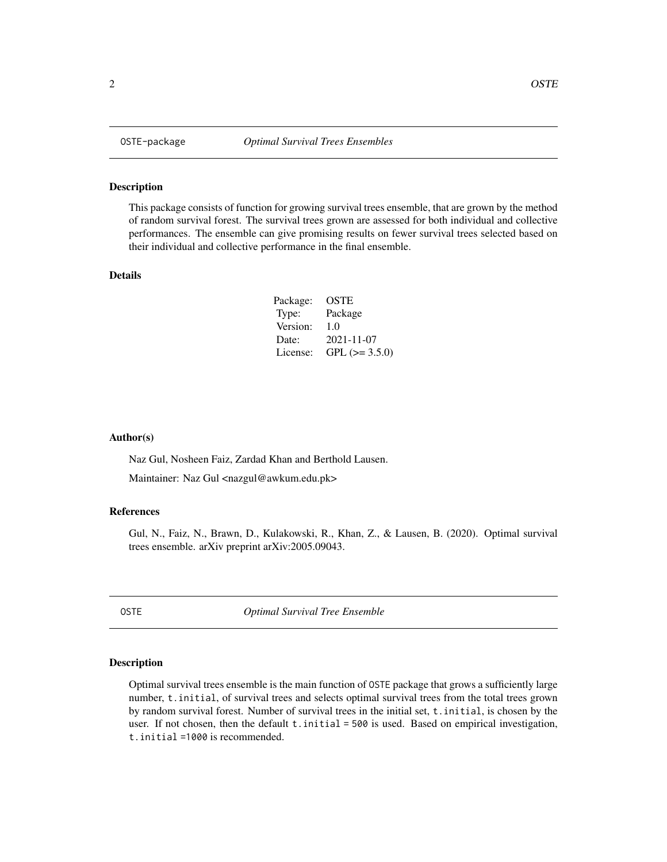#### Description

This package consists of function for growing survival trees ensemble, that are grown by the method of random survival forest. The survival trees grown are assessed for both individual and collective performances. The ensemble can give promising results on fewer survival trees selected based on their individual and collective performance in the final ensemble.

#### Details

| Package: | OSTE             |
|----------|------------------|
| Type:    | Package          |
| Version: | 1.0              |
| Date:    | $2021 - 11 - 07$ |
| License: | GPL $(>= 3.5.0)$ |

#### Author(s)

Naz Gul, Nosheen Faiz, Zardad Khan and Berthold Lausen.

Maintainer: Naz Gul <nazgul@awkum.edu.pk>

#### References

Gul, N., Faiz, N., Brawn, D., Kulakowski, R., Khan, Z., & Lausen, B. (2020). Optimal survival trees ensemble. arXiv preprint arXiv:2005.09043.

OSTE *Optimal Survival Tree Ensemble*

#### Description

Optimal survival trees ensemble is the main function of OSTE package that grows a sufficiently large number, t.initial, of survival trees and selects optimal survival trees from the total trees grown by random survival forest. Number of survival trees in the initial set, t.initial, is chosen by the user. If not chosen, then the default t.initial = 500 is used. Based on empirical investigation, t.initial =1000 is recommended.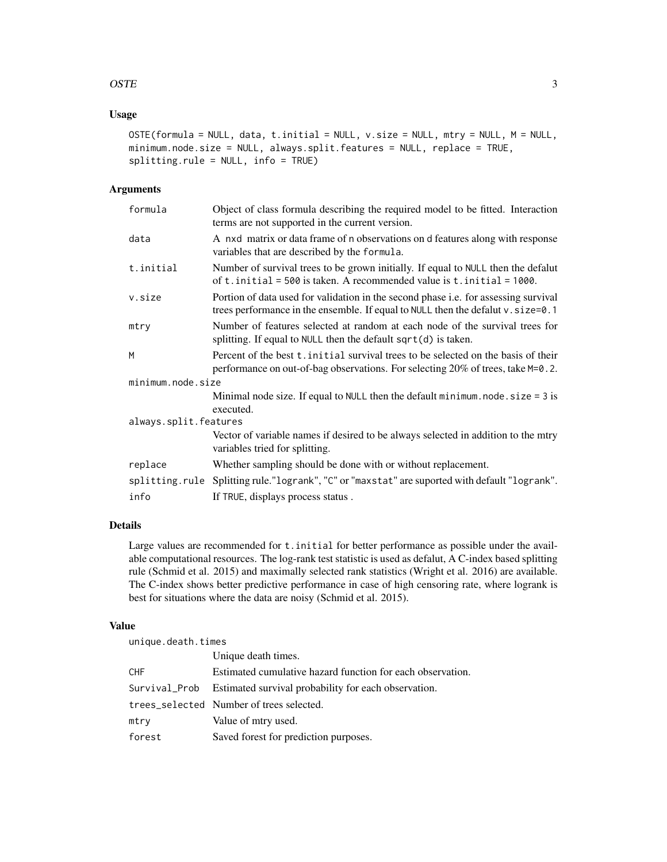#### $OSTE$  3

#### Usage

```
OSTE(formula = NULL, data, t.initial = NULL, v.size = NULL, mtry = NULL, M = NULL,
minimum.node.size = NULL, always.split.features = NULL, replace = TRUE,
splitting.rule = NULL, info = TRUE)
```
#### Arguments

| formula               | Object of class formula describing the required model to be fitted. Interaction<br>terms are not supported in the current version.                                            |
|-----------------------|-------------------------------------------------------------------------------------------------------------------------------------------------------------------------------|
| data                  | A nxd matrix or data frame of n observations on d features along with response<br>variables that are described by the formula.                                                |
| t.initial             | Number of survival trees to be grown initially. If equal to NULL then the defalut<br>of t. initial = 500 is taken. A recommended value is t. initial = $1000$ .               |
| v.size                | Portion of data used for validation in the second phase <i>i.e.</i> for assessing survival<br>trees performance in the ensemble. If equal to NULL then the defalut v.size=0.1 |
| mtry                  | Number of features selected at random at each node of the survival trees for<br>splitting. If equal to NULL then the default $sqrt(d)$ is taken.                              |
| M                     | Percent of the best t. initial survival trees to be selected on the basis of their<br>performance on out-of-bag observations. For selecting 20% of trees, take M=0.2.         |
| minimum.node.size     |                                                                                                                                                                               |
|                       | Minimal node size. If equal to NULL then the default minimum. node. $size = 3$ is<br>executed.                                                                                |
| always.split.features |                                                                                                                                                                               |
|                       | Vector of variable names if desired to be always selected in addition to the miry<br>variables tried for splitting.                                                           |
| replace               | Whether sampling should be done with or without replacement.                                                                                                                  |
|                       | splitting.rule Splitting rule."logrank", "C" or "maxstat" are suported with default "logrank".                                                                                |
| info                  | If TRUE, displays process status.                                                                                                                                             |

#### Details

Large values are recommended for t. initial for better performance as possible under the available computational resources. The log-rank test statistic is used as defalut, A C-index based splitting rule (Schmid et al. 2015) and maximally selected rank statistics (Wright et al. 2016) are available. The C-index shows better predictive performance in case of high censoring rate, where logrank is best for situations where the data are noisy (Schmid et al. 2015).

#### Value

unique.death.times

|        | Unique death times.                                                |
|--------|--------------------------------------------------------------------|
| CHF    | Estimated cumulative hazard function for each observation.         |
|        | Survival_Prob Estimated survival probability for each observation. |
|        | trees_selected Number of trees selected.                           |
| mtry   | Value of mtry used.                                                |
| forest | Saved forest for prediction purposes.                              |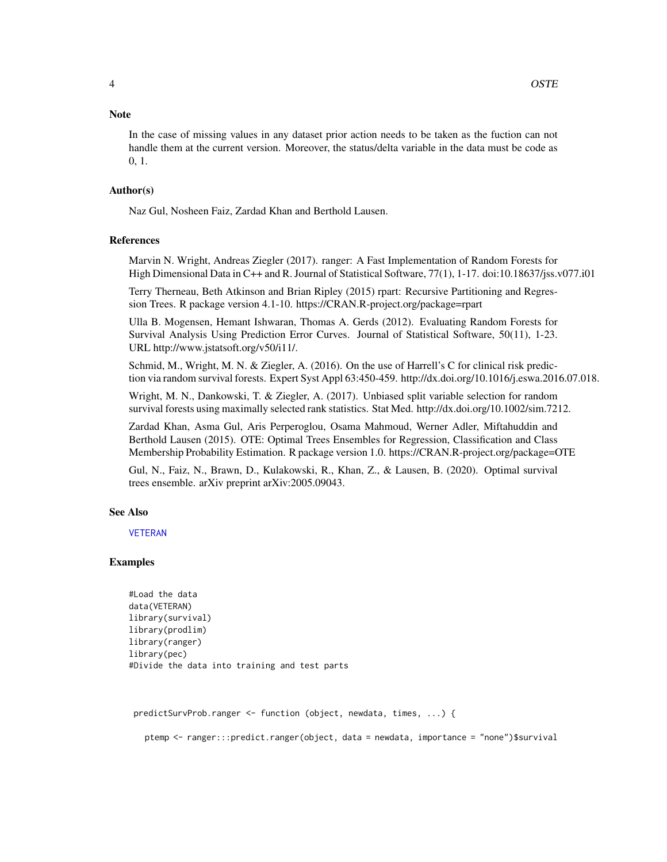#### <span id="page-3-0"></span>**Note**

In the case of missing values in any dataset prior action needs to be taken as the fuction can not handle them at the current version. Moreover, the status/delta variable in the data must be code as 0, 1.

#### Author(s)

Naz Gul, Nosheen Faiz, Zardad Khan and Berthold Lausen.

#### References

Marvin N. Wright, Andreas Ziegler (2017). ranger: A Fast Implementation of Random Forests for High Dimensional Data in C++ and R. Journal of Statistical Software, 77(1), 1-17. doi:10.18637/jss.v077.i01

Terry Therneau, Beth Atkinson and Brian Ripley (2015) rpart: Recursive Partitioning and Regression Trees. R package version 4.1-10. https://CRAN.R-project.org/package=rpart

Ulla B. Mogensen, Hemant Ishwaran, Thomas A. Gerds (2012). Evaluating Random Forests for Survival Analysis Using Prediction Error Curves. Journal of Statistical Software, 50(11), 1-23. URL http://www.jstatsoft.org/v50/i11/.

Schmid, M., Wright, M. N. & Ziegler, A. (2016). On the use of Harrell's C for clinical risk prediction via random survival forests. Expert Syst Appl 63:450-459. http://dx.doi.org/10.1016/j.eswa.2016.07.018.

Wright, M. N., Dankowski, T. & Ziegler, A. (2017). Unbiased split variable selection for random survival forests using maximally selected rank statistics. Stat Med. http://dx.doi.org/10.1002/sim.7212.

Zardad Khan, Asma Gul, Aris Perperoglou, Osama Mahmoud, Werner Adler, Miftahuddin and Berthold Lausen (2015). OTE: Optimal Trees Ensembles for Regression, Classification and Class Membership Probability Estimation. R package version 1.0. https://CRAN.R-project.org/package=OTE

Gul, N., Faiz, N., Brawn, D., Kulakowski, R., Khan, Z., & Lausen, B. (2020). Optimal survival trees ensemble. arXiv preprint arXiv:2005.09043.

#### See Also

#### [VETERAN](#page-4-1)

#### Examples

```
#Load the data
data(VETERAN)
library(survival)
library(prodlim)
library(ranger)
library(pec)
#Divide the data into training and test parts
```
predictSurvProb.ranger <- function (object, newdata, times, ...) {

ptemp <- ranger:::predict.ranger(object, data = newdata, importance = "none")\$survival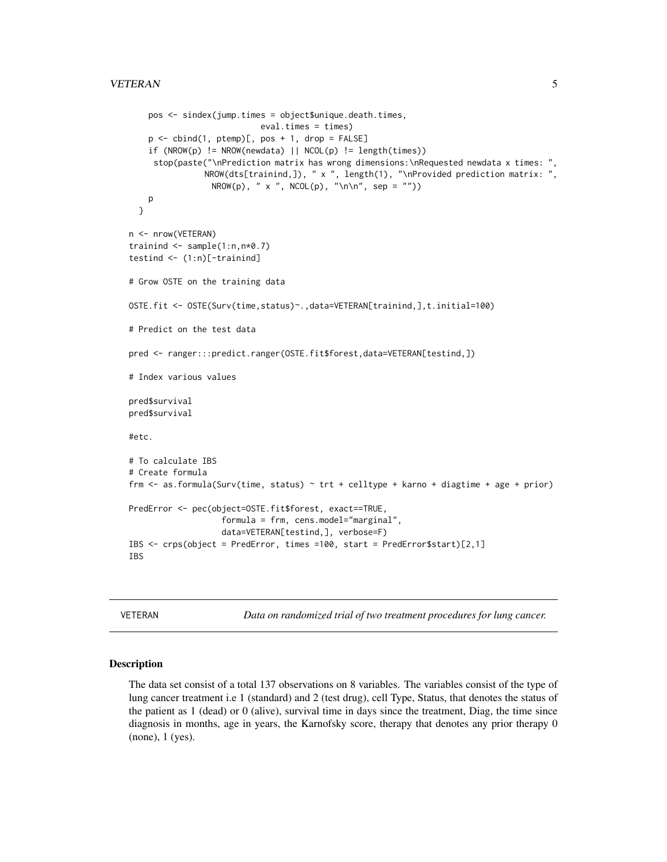```
pos <- sindex(jump.times = object$unique.death.times,
                            eval.times = times)
    p \leftarrow \text{cbind}(1, \text{ptemp})[, pos + 1, \text{drop} = \text{FALSE}]if (NROW(p) != NROW(newdata) || NCOL(p) != length(times))stop(paste("\nPrediction matrix has wrong dimensions:\nRequested newdata x times: ",
                NROW(dts[trainind,]), " x ", length(1), "\nProvided prediction matrix: ",
                  NROW(p), " x ", NCOL(p), "\n\cdot \ln \n\cdot \n\cdot sep = ""))
   p
 }
n <- nrow(VETERAN)
trainind <- sample(1:n,n*0.7)
testind \leq (1:n)[-training]# Grow OSTE on the training data
OSTE.fit <- OSTE(Surv(time,status)~.,data=VETERAN[trainind,],t.initial=100)
# Predict on the test data
pred <- ranger:::predict.ranger(OSTE.fit$forest,data=VETERAN[testind,])
# Index various values
pred$survival
pred$survival
#etc.
# To calculate IBS
# Create formula
frm \leq as.formula(Surv(time, status) \sim trt + celltype + karno + diagtime + age + prior)
PredError <- pec(object=OSTE.fit$forest, exact==TRUE,
                    formula = frm, cens.model="marginal",
                    data=VETERAN[testind,], verbose=F)
IBS <- crps(object = PredError, times =100, start = PredError$start)[2,1]
IBS
```
<span id="page-4-1"></span>VETERAN *Data on randomized trial of two treatment procedures for lung cancer.*

#### Description

The data set consist of a total 137 observations on 8 variables. The variables consist of the type of lung cancer treatment i.e 1 (standard) and 2 (test drug), cell Type, Status, that denotes the status of the patient as 1 (dead) or 0 (alive), survival time in days since the treatment, Diag, the time since diagnosis in months, age in years, the Karnofsky score, therapy that denotes any prior therapy 0 (none), 1 (yes).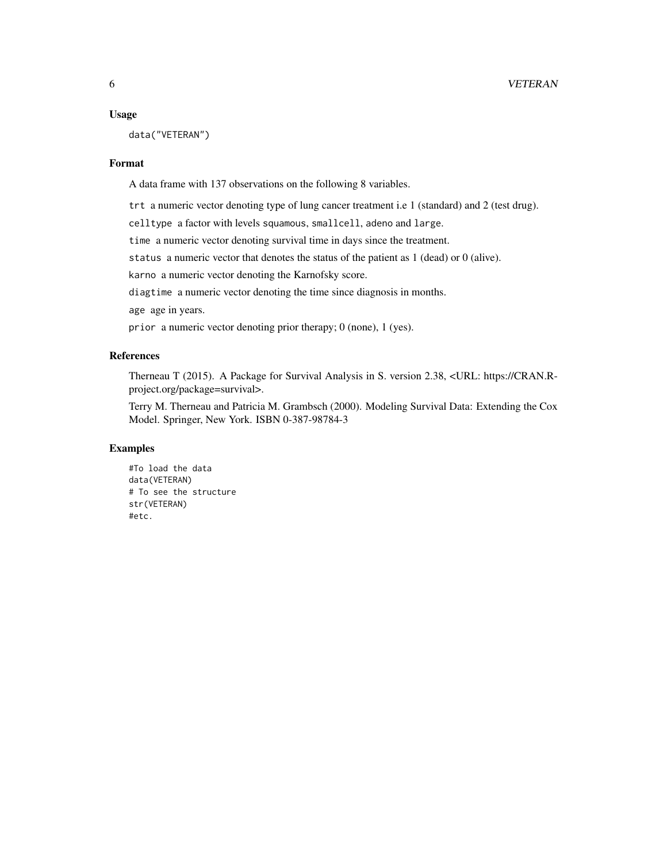#### Usage

data("VETERAN")

#### Format

A data frame with 137 observations on the following 8 variables.

trt a numeric vector denoting type of lung cancer treatment i.e 1 (standard) and 2 (test drug).

celltype a factor with levels squamous, smallcell, adeno and large.

time a numeric vector denoting survival time in days since the treatment.

status a numeric vector that denotes the status of the patient as 1 (dead) or 0 (alive).

karno a numeric vector denoting the Karnofsky score.

diagtime a numeric vector denoting the time since diagnosis in months.

age age in years.

prior a numeric vector denoting prior therapy; 0 (none), 1 (yes).

#### References

Therneau T (2015). A Package for Survival Analysis in S. version 2.38, <URL: https://CRAN.Rproject.org/package=survival>.

Terry M. Therneau and Patricia M. Grambsch (2000). Modeling Survival Data: Extending the Cox Model. Springer, New York. ISBN 0-387-98784-3

#### Examples

#To load the data data(VETERAN) # To see the structure str(VETERAN) #etc.